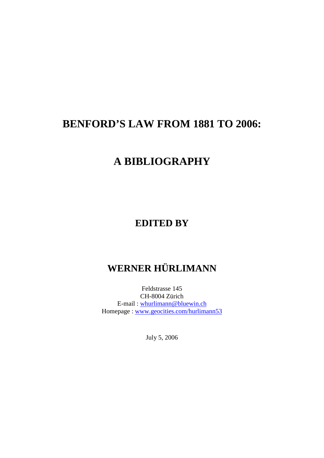## **BENFORD'S LAW FROM 1881 TO 2006:**

## **A BIBLIOGRAPHY**

## **EDITED BY**

## **WERNER HÜRLIMANN**

Feldstrasse 145 CH-8004 Zürich E-mail : whurlimann@bluewin.ch Homepage : www.geocities.com/hurlimann53

July 5, 2006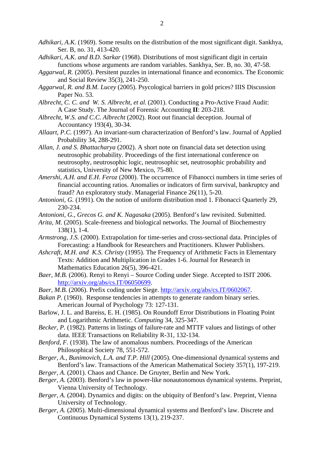- *Adhikari, A.K.* (1969). Some results on the distribution of the most significant digit. Sankhya, Ser. B, no. 31, 413-420.
- *Adhikari, A.K. and B.D. Sarkar* (1968). Distributions of most significant digit in certain functions whose arguments are random variables. Sankhya, Ser. B, no. 30, 47-58.
- *Aggarwal, R.* (2005). Persitent puzzles in international finance and economics. The Economic and Social Review 35(3), 241-250.
- *Aggarwal, R. and B.M. Lucey* (2005). Psycological barriers in gold prices? IIIS Discussion Paper No. 53.
- *Albrecht, C. C. and W. S. Albrecht, et al.* (2001). Conducting a Pro-Active Fraud Audit: A Case Study. The Journal of Forensic Accounting **II**: 203-218.
- *Albrecht, W.S. and C.C. Albrecht* (2002). Root out financial deception. Journal of Accountancy 193(4), 30-34.
- *Allaart, P.C.* (1997). An invariant-sum characterization of Benford's law. Journal of Applied Probability 34, 288-291.
- *Allan, J. and S. Bhattacharya* (2002). A short note on financial data set detection using neutrosophic probability. Proceedings of the first international conference on neutrosophy, neutrosophic logic, neutrosophic set, neutrosophic probability and statistics, University of New Mexico, 75-80.
- *Amershi, A.H. and E.H. Feroz* (2000). The occurrence of Fibanocci numbers in time series of financial accounting ratios. Anomalies or indicators of firm survival, bankruptcy and fraud? An exploratory study. Managerial Finance 26(11), 5-20.
- *Antonioni, G.* (1991). On the notion of uniform distribution mod 1. Fibonacci Quarterly 29, 230-234.
- *Antonioni, G., Grecos G. and K. Nagasaka* (2005). Benford's law revisited. Submitted.
- *Arita, M.* (2005). Scale-freeness and biological networks. The Journal of Biochemestry 138(1), 1-4.
- *Armstrong, J.S.* (2000). Extrapolation for time-series and cross-sectional data. Principles of Forecasting: a Handbook for Researchers and Practitioners. Kluwer Publishers.
- *Ashcraft, M.H. and K.S. Christy* (1995). The Frequency of Arithmetic Facts in Elementary Texts: Addition and Multiplication in Grades 1-6. Journal for Research in Mathematics Education 26(5), 396-421.
- *Baer, M.B.* (2006). Renyi to Renyi Source Coding under Siege. Accepted to ISIT 2006. http://arxiv.org/abs/cs.IT/06050699.
- *Baer, M.B.* (2006). Prefix coding under Siege. http://arxiv.org/abs/cs.IT/0602067.
- *Bakan P.* (1960). Response tendencies in attempts to generate random binary series. American Journal of Psychology 73: 127-131.
- Barlow, J. L. and Bareiss, E. H. (1985). On Roundoff Error Distributions in Floating Point and Logarithmic Arithmetic. *Computing* 34, 325-347.
- *Becker, P.* (1982). Patterns in listings of failure-rate and MTTF values and listings of other data. IEEE Transactions on Reliability R-31, 132-134.
- *Benford, F.* (1938). The law of anomalous numbers. Proceedings of the American Philosophical Society 78, 551-572.
- *Berger, A., Bunimovich, L.A. and T.P. Hill* (2005). One-dimensional dynamical systems and Benford's law. Transactions of the American Mathematical Society 357(1), 197-219.
- *Berger, A.* (2001). Chaos and Chance. De Gruyter, Berlin and New York.
- *Berger, A.* (2003). Benford's law in power-like nonautonomous dynamical systems. Preprint, Vienna University of Technology.
- *Berger, A.* (2004). Dynamics and digits: on the ubiquity of Benford's law. Preprint, Vienna University of Technology.
- *Berger, A.* (2005). Multi-dimensional dynamical systems and Benford's law. Discrete and Continuous Dynamical Systems 13(1), 219-237.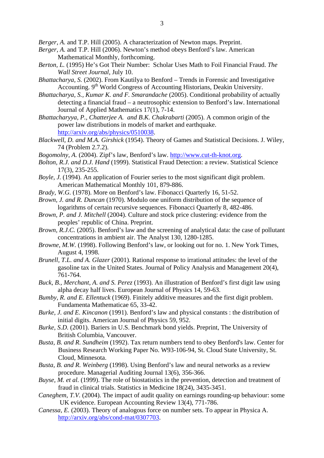*Berger, A.* and T.P. Hill (2005). A characterization of Newton maps. Preprint.

- *Berger, A.* and T.P. Hill (2006). Newton's method obeys Benford's law. American Mathematical Monthly, forthcoming.
- *Berton, L.* (1995) He's Got Their Number: Scholar Uses Math to Foil Financial Fraud. *The Wall Street Journal*, July 10.
- *Bhattacharya, S.* (2002). From Kautilya to Benford Trends in Forensic and Investigative Accounting. 9<sup>th</sup> World Congress of Accounting Historians, Deakin University.
- *Bhattacharya, S., Kumar K. and F. Smarandache* (2005). Conditional probability of actually detecting a financial fraud – a neutrosophic extension to Benford's law. International Journal of Applied Mathematics 17(1), 7-14.
- *Bhattacharyya, P., Chatterjee A. and B.K. Chakrabarti* (2005). A common origin of the power law distributions in models of market and earthquake. http://arxiv.org/abs/physics/0510038.
- *Blackwell, D. and M.A. Girshick* (1954). Theory of Games and Statistical Decisions. J. Wiley, 74 (Problem 2.7.2).
- *Bogomolny, A.* (2004). Zipf's law, Benford's law. http://www.cut-th-knot.org.
- *Bolton, R.J. and D.J. Hand* (1999). Statistical Fraud Detection: a review. Statistical Science 17(3), 235-255.
- *Boyle, J.* (1994). An application of Fourier series to the most significant digit problem. American Mathematical Monthly 101, 879-886.
- *Brady, W.G.* (1978). More on Benford's law. Fibonacci Quarterly 16, 51-52.
- *Brown, J. and R. Duncan* (1970). Modulo one uniform distribution of the sequence of logarithms of certain recursive sequences. Fibonacci Quarterly 8, 482-486.
- *Brown, P. and J. Mitchell* (2004). Culture and stock price clustering: evidence from the peoples' republic of China. Preprint.
- *Brown, R.J.C.* (2005). Benford's law and the screening of analytical data: the case of pollutant concentrations in ambient air. The Analyst 130, 1280-1285.
- *Browne, M.W.* (1998). Following Benford's law, or looking out for no. 1. New York Times, August 4, 1998.
- *Brunell, T.L. and A. Glazer* (2001). Rational response to irrational attitudes: the level of the gasoline tax in the United States. Journal of Policy Analysis and Management 20(4), 761-764.
- *Buck, B., Merchant, A. and S. Perez* (1993). An illustration of Benford's first digit law using alpha decay half lives. European Journal of Physics 14, 59-63.
- *Bumby, R. and E. Ellentuck* (1969). Finitely additive measures and the first digit problem. Fundamenta Mathematicae 65, 33-42.
- *Burke, J. and E. Kincanon* (1991). Benford's law and physical constants : the distribution of initial digits. American Journal of Physics 59, 952.
- *Burke, S.D.* (2001). Bariers in U.S. Benchmark bond yields. Preprint, The University of British Columbia, Vancouver.
- *Busta, B. and R. Sundheim* (1992). Tax return numbers tend to obey Benford's law. Center for Business Research Working Paper No. W93-106-94, St. Cloud State University, St. Cloud, Minnesota.
- *Busta, B. and R. Weinberg* (1998). Using Benford's law and neural networks as a review procedure. Managerial Auditing Journal 13(6), 356-366.
- *Buyse, M. et al.* (1999). The role of biostatistics in the prevention, detection and treatment of fraud in clinical trials. Statistics in Medicine 18(24), 3435-3451.
- *Caneghem, T.V.* (2004). The impact of audit quality on earnings rounding-up behaviour: some UK evidence. European Accounting Review 13(4), 771-786.
- *Canessa, E.* (2003). Theory of analogous force on number sets. To appear in Physica A. http://arxiv.org/abs/cond-mat/0307703.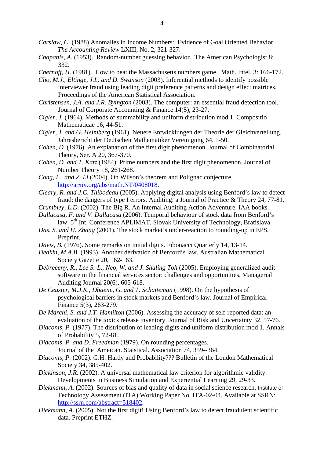- *Carslaw, C.* (1988) Anomalies in Income Numbers: Evidence of Goal Oriented Behavior. *The Accounting Review* LXIII, No. 2, 321-327.
- *Chapanis, A.* (1953). Random-number guessing behavior. The American Psychologist 8: 332.
- *Chernoff, H.* (1981). How to beat the Massachusetts numbers game. Math. Intel. 3: 166-172.
- *Cho, M.J., Eltinge, J.L. and D. Swanson* (2003). Inferential methods to identify possible interviewer fraud using leading digit preference patterns and design effect matrices. Proceedings of the American Statistical Association.
- *Christensen, J.A. and J.R. Byington* (2003). The computer: an essential fraud detection tool. Journal of Corporate Accounting & Finance 14(5), 23-27.
- *Cigler, J.* (1964). Methods of summability and uniform distribution mod 1. Compositio Mathematicae 16, 44-51.
- *Cigler, J. and G. Heimberg* (1961). Neuere Entwicklungen der Theorie der Gleichverteilung. Jahresbericht der Deutschen Mathematiker Vereinigung 64, 1-50.
- *Cohen, D.* (1976). An explanation of the first digit phenomenon. Journal of Combinatorial Theory, Ser. A 20, 367-370.
- *Cohen, D. and T. Katz* (1984). Prime numbers and the first digit phenomenon. Journal of Number Theory 18, 261-268.
- *Cong, L. and Z. Li* (2004). On Wilson's theorem and Polignac conjecture. http://arxiv.org/abs/math.NT/0408018.
- *Cleary, R. and J.C. Thibodeau* (2005). Applying digital analysis using Benford's law to detect fraud: the dangers of type I errors. Auditing: a Journal of Practice & Theory 24, 77-81.
- *Crumbley, L.D.* (2002). The Big R. An Internal Auditing Action Adventure. IAA books.
- *Dallacasa, F. and V. Dallacasa* (2006). Temporal behaviour of stock data from Benford's law.  $5<sup>th</sup>$  Int. Conference APLIMAT, Slovak University of Technology, Bratislava.
- *Das, S. and H. Zhang* (2001). The stock market's under-reaction to rounding-up in EPS. Preprint.
- *Davis, B.* (1976). Some remarks on initial digits. Fibonacci Quarterly 14, 13-14.
- *Deakin, M.A.B.* (1993). Another derivation of Benford's law. Australian Mathematical Society Gazette 20, 162-163.
- *Debreceny, R., Lee S.-L., Neo, W. and J. Shuling Toh* (2005). Employing generalized audit software in the financial services sector: challenges and opportunities. Managerial Auditing Journal 20(6), 605-618.
- *De Ceuster, M.J.K., Dhaene, G. and T. Schatteman (1998). On the hypothesis of* psychological barriers in stock markets and Benford's law. Journal of Empirical Finance 5(3), 263-279.
- *De Marchi, S. and J.T. Hamilton* (2006). Assessing the accuracy of self-reported data: an evaluation of the toxics release inventory. Journal of Risk and Uncertainty 32, 57-76.
- *Diaconis, P.* (1977). The distribution of leading digits and uniform distribution mod 1. Annals of Probability 5, 72-81.
- *Diaconis, P. and D. Freedman* (1979). On rounding percentages. Journal of the Ameican. Staistical. Association 74, 359--364.
- *Diaconis, P.* (2002). G.H. Hardy and Probability??? Bulletin of the London Mathematical Society 34, 385-402.
- *Dickinson, J.R.* (2002). A universal mathematical law criterion for algorithmic validity. Developments in Business Simulation and Experiential Learning 29, 29-33.
- *Diekmann, A.* (2002). Sources of bias and quality of data in social science research. Institute of Technology Assessment (ITA) Working Paper No. ITA-02-04. Available at SSRN: http://ssrn.com/abstract=518402.
- *Diekmann, A.* (2005). Not the first digit! Using Benford's law to detect fraudulent scientific data. Preprint ETHZ.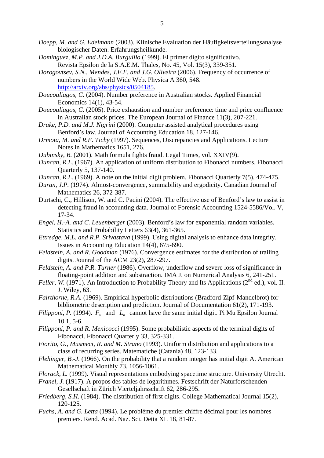- *Doepp, M. and G. Edelmann* (2003). Klinische Evaluation der Häufigkeitsverteilungsanalyse biologischer Daten. Erfahrungsheilkunde.
- *Dominguez, M.P. and J.D.A. Burguillo* (1999). El primer digito significativo. Revista Epsilon de la S.A.E.M. Thales, No. 45, Vol. 15(3), 339-351.
- *Dorogovtsev, S.N., Mendes, J.F.F. and J.G. Oliveira* (2006). Frequency of occurrence of numbers in the World Wide Web. Physica A 360, 548. http://arxiv.org/abs/physics/0504185.
- *Doucouliagos, C.* (2004). Number preference in Australian stocks. Applied Financial Economics 14(1), 43-54.
- *Doucouliagos, C.* (2005). Price exhaustion and number preference: time and price confluence in Australian stock prices. The European Journal of Finance 11(3), 207-221.
- *Drake, P.D. and M.J. Nigrini* (2000). Computer assisted analytical procedures using Benford's law. Journal of Accounting Education 18, 127-146.
- *Drmota, M. and R.F. Tichy* (1997). Sequences, Discrepancies and Applications. Lecture Notes in Mathematics 1651, 276.
- *Dubinsky, B.* (2001). Math formula fights fraud. Legal Times, vol. XXIV(9).
- *Duncan, R.L.* (1967). An application of uniform distribution to Fibonacci numbers. Fibonacci Quarterly 5, 137-140.
- *Duncan, R.L.* (1969). A note on the initial digit problem. Fibonacci Quarterly 7(5), 474-475.
- *Duran, J.P.* (1974). Almost-convergence, summability and ergodicity. Canadian Journal of Mathematics 26, 372-387.
- Durtschi, C., Hillison, W. and C. Pacini (2004). The effective use of Benford's law to assist in detecting fraud in accounting data. Journal of Forensic Accounting 1524-5586/Vol. V, 17-34.
- *Engel, H.-A. and C. Leuenberger* (2003). Benford's law for exponential random variables. Statistics and Probability Letters 63(4), 361-365.
- *Ettredge, M.L. and R.P. Srivastava* (1999). Using digital analysis to enhance data integrity. Issues in Accounting Education 14(4), 675-690.
- *Feldstein, A. and R. Goodman* (1976). Convergence estimates for the distribution of trailing digits. Jounral of the ACM 23(2), 287-297.
- *Feldstein, A. and P.R. Turner* (1986). Overflow, underflow and severe loss of significance in floating-point addition and substraction. IMA J. on Numerical Analysis 6, 241-251.
- *Feller, W.* (1971). An Introduction to Probability Theory and Its Applications ( $2<sup>nd</sup>$  ed.), vol. II. J. Wiley, 63.
- *Fairthorne, R.A.* (1969). Empirical hyperbolic distributions (Bradford-Zipf-Mandelbrot) for bibliometric description and prediction. Journal of Documentation 61(2), 171-193.
- *Filipponi, P.* (1994).  $F_n$  and  $L_n$  cannot have the same initial digit. Pi Mu Epsilon Journal 10.1, 5-6.
- *Filipponi, P. and R. Menicocci* (1995). Some probabilistic aspects of the terminal digits of Fibonacci. Fibonacci Quarterly 33, 325-331.
- *Fiorito, G., Musmeci, R. and M. Strano* (1993). Uniform distribution and applications to a class of recurring series. Matematiche (Catania) 48, 123-133.
- *Flehinger, B.-J.* (1966). On the probability that a random integer has initial digit A. American Mathematical Monthly 73, 1056-1061.
- *Florack, L.* (1999). Visual representations embodying spacetime structure. University Utrecht.
- *Franel, J.* (1917). A propos des tables de logarithmes. Festschrift der Naturforschenden Gesellschaft in Zürich Vierteljahrsschrift 62, 286-295.
- *Friedberg, S.H.* (1984). The distribution of first digits. College Mathematical Journal 15(2), 120-125.
- *Fuchs, A. and G. Letta* (1994). Le problème du premier chiffre décimal pour les nombres premiers. Rend. Acad. Naz. Sci. Detta XL 18, 81-87.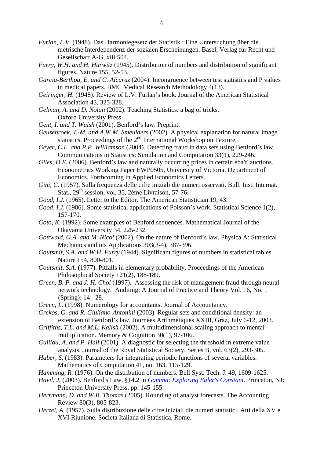- *Furlan, L.V.* (1948). Das Harmoniegesetz der Statistik : Eine Untersuchung über die metrische Interdependenz der sozialen Erscheinungen. Basel, Verlag für Recht und Gesellschaft A-G, xiii:504.
- *Furry, W.H. and H. Hurwitz* (1945). Distribution of numbers and distribution of significant figures. Nature 155, 52-53.
- *Garcia-Berthou, E. and C. Alcaraz* (2004). Incongruence between test statistics and P values in medical papers. BMC Medical Research Methodology 4(13).
- *Geiringer, H.* (1948). Review of L.V. Furlan's book. Journal of the American Statistical Association 43, 325-328.
- *Gelman, A. and D. Nolan* (2002). Teaching Statistics: a bag of tricks. Oxford University Press.
- *Gent, I. and T. Walsh* (2001). Benford's law. Preprint.
- *Geusebroek, J.-M. and A.W.M. Smeulders* (2002). A physical explanation for natural image statistics. Proceedings of the 2<sup>nd</sup> International Workshop on Texture.
- *Geyer, C.L. and P.P. Williamson* (2004). Detecting fraud in data sets using Benford's law. Communications in Statistics: Simulation and Computation 33(1), 229-246.

*Giles, D.E.* (2006). Benford's law and naturally occurring prices in certain ebaY auctions. Econometrics Working Paper EWP0505, University of Victoria, Department of Economics. Forthcoming in Applied Economics Letters.

- *Gini, C.* (1957). Sulla frequenza delle cifre iniziali die numeri osservati. Bull. Inst. Internat. Stat.,  $29<sup>th</sup>$  session, vol. 35, 2ème Livraison, 57-76.
- *Good, I.J.* (1965). Letter to the Editor. The American Statistician 19, 43.
- *Good, I.J.* (1986). Some statistical applications of Poisson's work. Statistical Science 1(2), 157-170.
- *Goto, K.* (1992). Some examples of Benford sequences. Mathematical Journal of the Okayama University 34, 225-232.
- *Gottwald, G.A. and M. Nicol* (2002). On the nature of Benford's law. Physica A: Statistical Mechanics and iits Applications 303(3-4), 387-396.
- *Goutsmit, S.A. and W.H. Furry* (1944). Significant figures of numbers in statistical tables. Nature 154, 800-801.
- *Goutsmit, S.A.* (1977). Pitfalls in elementary probability. Proceedings of the American Philosophical Society 121(2), 188-189.
- *Green, B. P. and J. H. Choi* (1997). Assessing the risk of management fraud through neural network technology. Auditing: A Journal of Practice and Theory Vol. 16, No. 1 (Spring): 14 - 28.
- *Green, L.* (1998). Numerology for accountants. Journal of Accountancy.
- *Grekos, G. and R. Giuliano-Antonini* (2003). Regular sets and conditional density: an extension of Benford's law. Journées Arithmétiques XXIII, Graz, July 6-12, 2003.
- *Griffiths, T.L. and M.L. Kalish* (2002). A multidimensional scaling approach to mental multiplication. Memory & Cognition 30(1), 97-106.
- *Guillou, A. and P. Hall* (2001). A diagnostic for selecting the threshold in extreme value analysis. Journal of the Royal Statistical Society, Series B, vol. 63(2), 293-305.
- *Haber, S.* (1983). Parameters for integrating periodic functions of several variables. Mathematics of Computation 41, no. 163, 115-129.
- *Hamming, R.* (1976). On the distribution of numbers. Bell Syst. Tech. J. 49, 1609-1625.
- *Havil, J.* (2003). Benford's Law. §14.2 in *Gamma: Exploring Euler's Constant.* Princeton, NJ: Princeton University Press, pp. 145-155.
- *Herrmann, D. and W.B. Thomas* (2005). Rounding of analyst forecasts. The Accounting Review 80(3), 805-823.
- *Herzel, A.* (1957). Sulla distribuzione delle cifre iniziali die numeri statistici. Atti della XV e XVI Riunione. Societa Italiana di Statistica, Rome.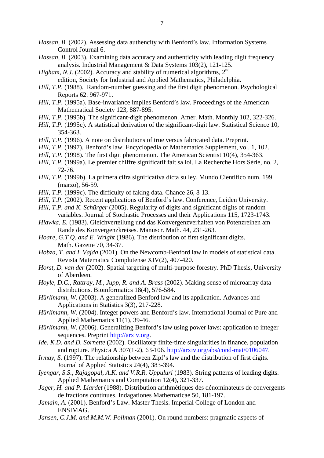- *Hassan, B.* (2002). Assessing data authencity with Benford's law. Information Systems Control Journal 6.
- *Hassan, B.* (2003). Examining data accuracy and authenticity with leading digit frequency analysis. Industrial Management & Data Systems 103(2), 121-125.
- *Higham, N.J.* (2002). Accuracy and stability of numerical algorithms,  $2<sup>nd</sup>$ edition, Society for Industrial and Applied Mathematics, Philadelphia.
- *Hill, T.P.* (1988). Random-number guessing and the first digit phenomenon. Psychological Reports 62: 967-971.
- *Hill, T.P.* (1995a). Base-invariance implies Benford's law. Proceedings of the American Mathematical Society 123, 887-895.
- *Hill, T.P.* (1995b). The significant-digit phenomenon. Amer. Math. Monthly 102, 322-326.
- *Hill, T.P.* (1995c). A statistical derivation of the significant-digit law. Statistical Science 10, 354-363.
- *Hill, T.P.* (1996). A note on distributions of true versus fabricated data. Preprint.
- *Hill, T.P.* (1997). Benford's law. Encyclopedia of Mathematics Supplement, vol. 1, 102.
- *Hill, T.P.* (1998). The first digit phenomenon. The American Scientist 10(4), 354-363.
- *Hill, T.P.* (1999a). Le premier chiffre significatif fait sa loi. La Recherche Hors Série, no. 2, 72-76.
- *Hill, T.P.* (1999b). La primera cifra significativa dicta su ley. Mundo Cientifico num. 199 (marzo), 56-59.
- *Hill, T.P.* (1999c). The difficulty of faking data. Chance 26, 8-13.
- *Hill, T.P.* (2002). Recent applications of Benford's law. Conference, Leiden University.
- *Hill, T.P. and K. Schürger* (2005). Regularity of digits and significant digits of random variables. Journal of Stochastic Processes and their Applications 115, 1723-1743.
- *Hlawka, E.* (1983). Gleichverteilung und das Konvergenzverhalten von Potenzreihen am Rande des Konvergenzkreises. Manuscr. Math. 44, 231-263.
- *Hoare, G.T.Q. and E. Wright* (1986). The distribution of first significant digits. Math. Gazette 70, 34-37.
- *Hobza, T. and I. Vajda* (2001). On the Newcomb-Benford law in models of statistical data. Revista Matematica Complutense XIV(2), 407-420.
- *Horst, D. van der* (2002). Spatial targeting of multi-purpose forestry. PhD Thesis, University of Aberdeen.
- *Hoyle, D.C., Rattray, M., Jupp, R. and A. Brass* (2002). Making sense of microarray data distributions. Bioinformatics 18(4), 576-584.
- *Hürlimann, W.* (2003). A generalized Benford law and its application. Advances and Applications in Statistics 3(3), 217-228.
- *Hürlimann, W.* (2004). Integer powers and Benford's law. International Journal of Pure and Applied Mathematics 11(1), 39-46.
- *Hürlimann, W.* (2006). Generalizing Benford's law using power laws: application to integer sequences. Preprint http://arxiv.org.
- *Ide, K.D. and D. Sornette* (2002). Oscillatory finite-time singularities in finance, population and rupture. Physica A 307(1-2), 63-106. http://arxiv.org/abs/cond-mat/0106047.
- *Irmay, S.* (1997). The relationship between Zipf's law and the distribution of first digits. Journal of Applied Statistics 24(4), 383-394.
- *Iyengar, S.S., Rajagopal, A.K. and V.R.R. Uppuluri* (1983). String patterns of leading digits. Applied Mathematics and Computation 12(4), 321-337.
- *Jager, H. and P. Liardet* (1988). Distribution arithmétiques des dénominateurs de convergents de fractions continues. Indagationes Mathematicae 50, 181-197.
- *Jamain, A.* (2001). Benford's Law. Master Thesis. Imperial College of London and ENSIMAG.
- *Jansen, C.J.M. and M.M.W. Pollman* (2001). On round numbers: pragmatic aspects of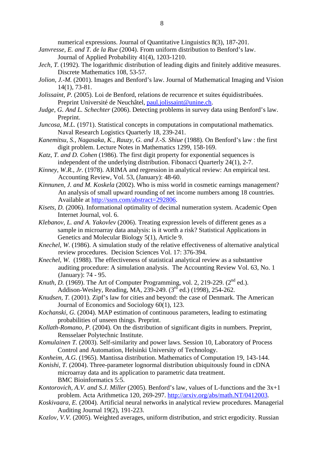numerical expressions. Journal of Quantitative Linguistics 8(3), 187-201.

- *Janvresse, E. and T. de la Rue* (2004). From uniform distribution to Benford's law. Journal of Applied Probability 41(4), 1203-1210.
- *Jech, T.* (1992). The logarithmic distribution of leading digits and finitely additive measures. Discrete Mathematics 108, 53-57.
- *Jolion, J.-M.* (2001). Images and Benford's law. Journal of Mathematical Imaging and Vision 14(1), 73-81.
- *Jolissaint, P.* (2005). Loi de Benford, relations de recurrence et suites équidistribuées. Preprint Université de Neuchâtel, paul.jolissaint@unine.ch.
- *Judge, G. And L. Schechter* (2006). Detecting problems in survey data using Benford's law. Preprint.
- *Juncosa, M.L.* (1971). Statistical concepts in computations in computational mathematics. Naval Research Logistics Quarterly 18, 239-241.
- *Kanemitsu, S., Nagasaka, K., Rauzy, G. and J.-S. Shiue* (1988). On Benford's law : the first digit problem. Lecture Notes in Mathematics 1299, 158-169.
- *Katz, T. and D. Cohen* (1986). The first digit property for exponential sequences is independent of the underlying distribution. Fibonacci Quarterly 24(1), 2-7.
- *Kinney, W.R., Jr.* (1978). ARIMA and regression in analytical review: An empirical test. Accounting Review, Vol. 53, (January): 48-60.
- *Kinnunen, J. and M. Koskela* (2002). Who is miss world in cosmetic earnings management? An analysis of small upward rounding of net income numbers among 18 countries. Available at http://ssrn.com/abstract=292806.
- *Kisets, D.* (2006). Informational optimality of decimal numeration system. Academic Open Internet Journal, vol. 6.
- *Klebanov, L. and A. Yakovlev* (2006). Treating expression levels of different genes as a sample in microarray data analysis: is it worth a risk? Statistical Applications in Genetics and Molecular Biology 5(1), Article 9.
- *Knechel, W.* (1986). A simulation study of the relative effectiveness of alternative analytical review procedures. Decision Sciences Vol. 17: 376-394.
- *Knechel, W.* (1988). The effectiveness of statistical analytical review as a substantive auditing procedure: A simulation analysis. The Accounting Review Vol. 63, No. 1 (January): 74 - 95.
- *Knuth, D.* (1969). The Art of Computer Programming, vol. 2, 219-229.  $(2^{nd}$  ed.). Addison-Wesley, Reading, MA, 239-249. (3rd ed.) (1998), 254-262.
- *Knudsen, T.* (2001). Zipf's law for cities and beyond: the case of Denmark. The American Journal of Economics and Sociology 60(1), 123.
- *Kochanski, G.* (2004). MAP estimation of continuous parameters, leading to estimating probabilities of unseen things. Preprint.
- *Kollath-Romano, P.* (2004). On the distribution of significant digits in numbers. Preprint, Rensselaer Polytechnic Institute.
- *Komulainen T.* (2003). Self-similarity and power laws. Session 10, Laboratory of Process Control and Automation, Helsinki University of Technology.
- *Konheim, A.G.* (1965). Mantissa distribution. Mathematics of Computation 19, 143-144.
- *Konishi, T.* (2004). Three-parameter lognormal distribution ubiquitously found in cDNA microarray data and its application to parametric data treatment. BMC Bioinformatics 5:5.
- *Kontorovich, A.V. and S.J. Miller* (2005). Benford's law, values of L-functions and the 3x+1 problem. Acta Arithmetica 120, 269-297. http://arxiv.org/abs/math.NT/0412003.
- *Koskivaara, E.* (2004). Artificial neural networks in analytical review procedures. Managerial Auditing Journal 19(2), 191-223.
- *Kozlov, V.V.* (2005). Weighted averages, uniform distribution, and strict ergodicity. Russian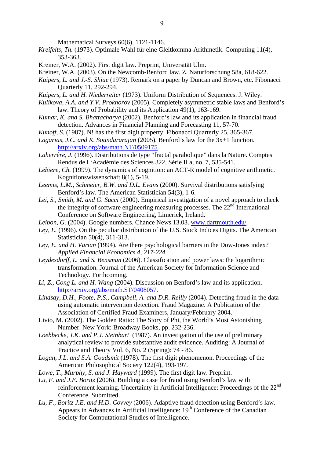Mathematical Surveys 60(6), 1121-1146.

- *Kreifelts, Th.* (1973). Optimale Wahl für eine Gleitkomma-Arithmetik. Computing 11(4), 353-363.
- Kreiner, W.A. (2002). First digit law. Preprint, Universität Ulm.
- Kreiner, W.A. (2003). On the Newcomb-Benford law. Z. Naturforschung 58a, 618-622.
- *Kuipers, L. and J.-S. Shiue* (1973). Remark on a paper by Duncan and Brown, etc. Fibonacci Quarterly 11, 292-294.
- *Kuipers, L. and H. Niederreiter* (1973). Uniform Distribution of Sequences. J. Wiley.
- *Kulikova, A.A. and Y.V. Prokhorov* (2005). Completely asymmetric stable laws and Benford's law. Theory of Probability and its Application 49(1), 163-169.
- *Kumar, K. and S. Bhattacharya* (2002). Benford's law and its application in financial fraud detection. Advances in Financial Planning and Forecasting 11, 57-70.
- *Kunoff, S.* (1987). N! has the first digit property. Fibonacci Quarterly 25, 365-367.
- *Lagarias, J.C. and K. Soundararajan* (2005). Benford's law for the 3x+1 function. http://arxiv.org/abs/math.NT/0509175.
- *Laherrère, J.* (1996). Distributions de type "fractal parabolique" dans la Nature. Comptes Rendus de l 'Académie des Sciences 322, Série II a, no. 7, 535-541.
- *Lebiere, Ch.* (1999). The dynamics of cognition: an ACT-R model of cognitive arithmetic. Kognitionswissenschaft 8(1), 5-19.
- *Leemis, L.M., Schmeier, B.W. and D.L. Evans* (2000). Survival distributions satisfying Benford's law. The American Statistician 54(3), 1-6.
- *Lei, S., Smith, M. and G. Succi* (2000). Empirical investigation of a novel approach to check the integrity of software engineering measuring processes. The  $22<sup>nd</sup>$  International Conference on Software Engineering, Limerick, Ireland.
- *Leibon, G.* (2004). Google numbers. Chance News 13.03. www.dartmouth.edu/.
- *Ley, E.* (1996). On the peculiar distribution of the U.S. Stock Indices Digits. The American Statistician 50(4), 311-313.
- *Ley, E. and H. Varian* (1994). Are there psychological barriers in the Dow-Jones index? *Applied Financial Economics 4, 217-224.*
- *Leydesdorff, L. and S. Bensman* (2006). Classification and power laws: the logarithmic transformation. Journal of the American Society for Information Science and Technology. Forthcoming.
- *Li, Z., Cong L. and H. Wang* (2004). Discussion on Benford's law and its application. http://arxiv.org/abs/math.ST/0408057.
- *Lindsay, D.H., Foote, P.S., Campbell, A. and D.R. Reilly* (2004). Detecting fraud in the data using automatic intervention detection. Fraud Magazine. A Publication of the Association of Certified Fraud Examiners, January/February 2004.
- Livio, M. (2002). The Golden Ratio: The Story of Phi, the World's Most Astonishing Number. New York: Broadway Books, pp. 232-236.
- *Loebbecke, J.K. and P.J. Steinbart* (1987). An investigation of the use of preliminary analytical review to provide substantive audit evidence. Auditing: A Journal of Practice and Theory Vol. 6, No. 2 (Spring): 74 - 86.
- *Logan, J.L. and S.A. Goudsmit* (1978). The first digit phenomenon. Proceedings of the American Philosophical Society 122(4), 193-197.
- *Lowe, T., Murphy, S. and J. Hayward* (1999). The first digit law. Preprint.
- *Lu, F. and J.E. Boritz* (2006). Building a case for fraud using Benford's law with reinforcement learning. Uncertainty in Artificial Intelligence: Proceedings of the 22<sup>nd</sup> Conference. Submitted.
- *Lu, F., Boritz J.E. and H.D. Covvey* (2006). Adaptive fraud detection using Benford's law. Appears in Advances in Artificial Intelligence:  $19<sup>th</sup>$  Conference of the Canadian Society for Computational Studies of Intelligence.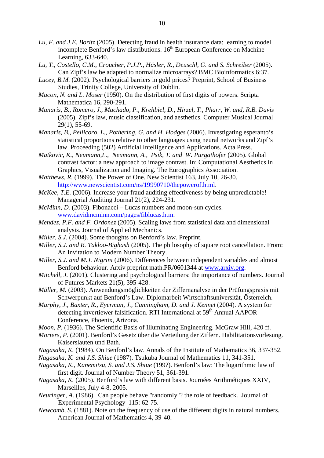- *Lu, F. and J.E. Boritz* (2005). Detecting fraud in health insurance data: learning to model incomplete Benford's law distributions.  $16<sup>th</sup>$  European Conference on Machine Learning, 633-640.
- Lu, T., Costello, C.M., Croucher, P.J.P., Häsler, R., Deuschl, G. and S. Schreiber (2005). Can Zipf's law be adapted to normalize microarrays? BMC Bioinformatics 6:37.
- *Lucey, B.M.* (2002). Psychological barriers in gold prices? Preprint, School of Business Studies, Trinity College, University of Dublin.
- *Macon, N. and L. Moser* (1950). On the distribution of first digits of powers. Scripta Mathematica 16, 290-291.
- *Manaris, B., Romero, J., Machado, P., Krehbiel, D., Hirzel, T., Pharr, W. and, R.B. Davis* (2005). Zipf's law, music classification, and aesthetics. Computer Musical Journal 29(1), 55-69.
- *Manaris, B., Pellicoro, L., Pothering, G. and H. Hodges* (2006). Investigating esperanto's statistical proportions relative to other languages using neural networks and Zipf's law. Proceeding (502) Artificial Intelligence and Applications. Acta Press.
- *Matkovic, K., Neumann,L., Neumann, A., Psik, T. and W. Purgathofer (2005).* Global contrast factor: a new approach to image contrast. In: Computational Aesthetics in Graphics, Visualization and Imaging. The Eurographics Association.
- *Matthews, R.* (1999). The Power of One. New Scientist 163, July 10, 26-30. http://www.newscientist.com/ns/19990710/thepowerof.html.
- *McKee, T.E.* (2006). Increase your fraud auditing effectiveness by being unpredictable! Managerial Auditing Journal 21(2), 224-231.
- *McMinn, D.* (2003). Fibonacci Lucas numbers and moon-sun cycles. www.davidmcminn.com/pages/fiblucas.htm.
- *Mendez, P.F. and F. Ordonez* (2005). Scaling laws from statistical data and dimensional analysis. Journal of Applied Mechanics.
- *Miller, S.J*. (2004). Some thoughts on Benford's law. Preprint.
- *Miller, S.J*. *and R. Takloo-Bighash* (2005). The philosophy of square root cancellation. From: An Invitation to Modern Number Theory.
- *Miller, S.J*. *and M.J. Nigrini* (2006). Differences between independent variables and almost Benford behaviour. Arxiv preprint math.PR/0601344 at www.arxiv.org.
- *Mitchell, J.* (2001). Clustering and psychological barriers: the importance of numbers. Journal of Futures Markets 21(5), 395-428.
- *Müller, M.* (2003). Anwendungsmöglichkeiten der Ziffernanalyse in der Prüfungspraxis mit Schwerpunkt auf Benford's Law. Diplomarbeit Wirtschaftsuniversität, Österreich.
- *Murphy, J., Baxter, R., Eyerman, J., Cunningham, D. and J. Kennet (2004). A system for* detecting invertiewer falsification. RTI International at 59<sup>th</sup> Annual AAPOR Conference, Phoenix, Arizona.
- *Moon, P.* (1936). The Scientific Basis of Illuminating Engineering. McGraw Hill, 420 ff.
- *Morters, P.* (2001). Benford's Gesetz über die Verteilung der Ziffern. Habilitationsvorlesung. Kaiserslauten und Bath.
- *Nagasaka, K.* (1984). On Benford's law. Annals of the Institute of Mathematics 36, 337-352.
- *Nagasaka, K. and J.S. Shiue* (1987). Tsukuba Journal of Mathematics 11, 341-351.
- *Nagasaka, K., Kanemitsu, S. and J.S. Shiue* (199?). Benford's law: The logarithmic law of first digit. Journal of Number Theory 51, 361-391.
- *Nagasaka, K.* (2005). Benford's law with different basis. Journées Arithmétiques XXIV, Marseilles, July 4-8, 2005.
- *Neuringer, A.* (1986). Can people behave "randomly"? the role of feedback. Journal of Experimental Psychology 115: 62-75.
- *Newcomb, S.* (1881). Note on the frequency of use of the different digits in natural numbers. American Journal of Mathematics 4, 39-40.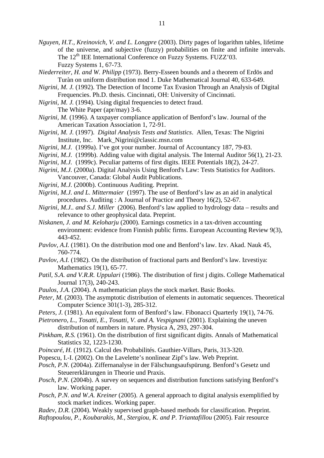- *Nguyen, H.T., Kreinovich, V. and L. Longpre* (2003). Dirty pages of logarithm tables, lifetime of the universe, and subjective (fuzzy) probabilities on finite and infinite intervals. The 12<sup>th</sup> IEE International Conference on Fuzzy Systems. FUZZ'03. Fuzzy Systems 1, 67-73.
- *Niederreiter, H. and W. Philipp* (1973). Berry-Esseen bounds and a theorem of Erdös and Turàn on uniform distribution mod 1. Duke Mathematical Journal 40, 633-649.
- *Nigrini, M. J.* (1992). The Detection of Income Tax Evasion Through an Analysis of Digital Frequencies. Ph.D. thesis. Cincinnati, OH: University of Cincinnati.
- *Nigrini, M. J.* (1994). Using digital frequencies to detect fraud.
	- The White Paper (apr/may) 3-6.
- *Nigrini, M.* (1996). A taxpayer compliance application of Benford's law. Journal of the American Taxation Association 1, 72-91.
- *Nigrini, M. J.* (1997). *Digital Analysis Tests and Statistics*. Allen, Texas: The Nigrini Institute, Inc. Mark\_Nigrini@classic.msn.com
- *Nigrini, M.J.* (1999a). I've got your number. Journal of Accountancy 187, 79-83.
- *Nigrini, M.J.* (1999b). Adding value with digital analysis. The Internal Auditor 56(1), 21-23.
- *Nigrini, M.J.* (1999c). Peculiar patterns of first digits. IEEE Potentials 18(2), 24-27.
- *Nigrini, M.J.* (2000a). Digital Analysis Using Benford's Law: Tests Statistics for Auditors. Vancouver, Canada: Global Audit Publications.
- *Nigrini, M.J.* (2000b). Continuous Auditing. Preprint.
- *Nigrini, M.J. and L. Mittermaier* (1997). The use of Benford's law as an aid in analytical procedures. Auditing : A Journal of Practice and Theory 16(2), 52-67.
- *Nigrini, M.J.. and S.J. Miller* (2006). Benford's law applied to hydrology data results and relevance to other geophysical data. Preprint.
- *Niskanen, J. and M. Keloharju* (2000). Earnings cosmetics in a tax-driven accounting environment: evidence from Finnish public firms. European Accounting Review 9(3), 443-452.
- *Pavlov, A.I.* (1981). On the distribution mod one and Benford's law. Izv. Akad. Nauk 45, 760-774.
- *Pavlov, A.I.* (1982). On the distribution of fractional parts and Benford's law. Izvestiya: Mathematics 19(1), 65-77.
- *Patil, S.A. and V.R.R. Uppulari* (1986). The distribution of first j digits. College Mathematical Journal 17(3), 240-243.
- *Paulos, J.A.* (2004). A mathematician plays the stock market. Basic Books.
- *Peter, M.* (2003). The asymptotic distribution of elements in automatic sequences. Theoretical Computer Science 301(1-3), 285-312.
- *Peters, J.* (1981). An equivalent form of Benford's law. Fibonacci Quarterly 19(1), 74-76.
- *Pietronero, L., Tosatti, E., Tosatti, V. and A. Vespignani* (2001). Explaining the uneven distribution of numbers in nature. Physica A, 293, 297-304.
- *Pinkham, R.S.* (1961). On the distribution of first significant digits. Annals of Mathematical Statistics 32, 1223-1230.
- *Poincaré, H.* (1912). Calcul des Probabilités. Gauthier-Villars, Paris, 313-320.
- Popescu, I.-I. (2002). On the Lavelette's nonlinear Zipf's law. Web Preprint.
- *Posch, P.N.* (2004a). Ziffernanalyse in der Fälschungsaufspürung. Benford's Gesetz und Steuererklärungen in Theorie und Praxis.
- *Posch, P.N.* (2004b). A survey on sequences and distribution functions satisfying Benford's law. Working paper.
- *Posch, P.N. and W.A. Kreiner* (2005). A general approach to digital analysis exemplified by stock market indices. Working paper.
- *Radev, D.R.* (2004). Weakly supervised graph-based methods for classification. Preprint.
- *Raftopoulou, P., Koubarakis, M., Stergiou, K. and P. Triantafillou* (2005). Fair resource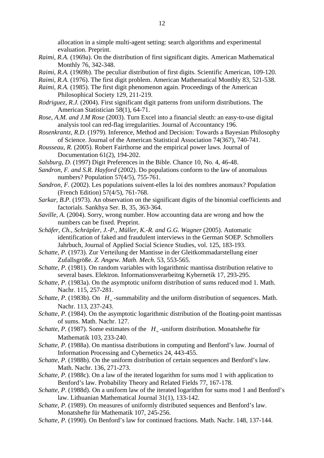allocation in a simple multi-agent setting: search algorithms and experimental evaluation. Preprint.

- *Raimi, R.A.* (1969a). On the distribution of first significant digits. American Mathematical Monthly 76, 342-348.
- *Raimi, R.A.* (1969b). The peculiar distribution of first digits. Scientific American, 109-120.
- *Raimi, R.A.* (1976). The first digit problem. American Mathematical Monthly 83, 521-538.
- *Raimi, R.A.* (1985). The first digit phenomenon again. Proceedings of the American Philosophical Society 129, 211-219.
- *Rodriguez, R.J.* (2004). First significant digit patterns from uniform distributions. The American Statistician 58(1), 64-71.
- *Rose, A.M. and J.M Rose* (2003). Turn Excel into a financial sleuth: an easy-to-use digital analysis tool can red-flag irregularities. Journal of Accountancy 196.
- *Rosenkrantz, R.D.* (1979). Inference, Method and Decision: Towards a Bayesian Philosophy of Science. Journal of the American Statistical Association 74(367), 740-741.
- *Rousseau, R.* (2005). Robert Fairthorne and the empirical power laws. Journal of Documentation 61(2), 194-202.
- *Salsburg, D.* (1997) Digit Preferences in the Bible. Chance 10, No. 4, 46-48.
- *Sandron, F. and S.R. Hayford* (2002). Do populations conform to the law of anomalous numbers? Population 57(4/5), 755-761.
- *Sandron, F.* (2002). Les populations suivent-elles la loi des nombres anomaux? Population (French Edition) 57(4/5), 761-768.
- *Sarkar, B.P.* (1973). An observation on the significant digits of the binomial coefficients and factorials. Sankhya Ser. B, 35, 363-364.
- *Saville, A.* (2004). Sorry, wrong number. How accounting data are wrong and how the numbers can be fixed. Preprint.
- *Schäfer, Ch., Schräpler, J.-P., Müller, K.-R. and G.G. Wagner* (2005). Automatic identification of faked and fraudulent interviews in the German SOEP. Schmollers Jahrbuch, Journal of Applied Social Science Studies, vol. 125, 183-193.
- *Schatte, P.* (1973). Zur Verteilung der Mantisse in der Gleitkommadarstellung einer Zufallsgröße. *Z. Angew. Math. Mech.* 53, 553-565.
- *Schatte, P.* (1981). On random variables with logarithmic mantissa distribution relative to several bases. Elektron. Informationsverarbeitng Kybernetik 17, 293-295.
- *Schatte, P.* (1983a). On the asymptotic uniform distribution of sums reduced mod 1. Math. Nachr. 115, 257-281.
- *Schatte, P.* (1983b). On *H*<sub>∞</sub>-summability and the uniform distribution of sequences. Math. Nachr. 113, 237-243.
- *Schatte, P.* (1984). On the asymptotic logarithmic distribution of the floating-point mantissas of sums. Math. Nachr. 127.
- *Schatte, P.* (1987). Some estimates of the  $H_{\infty}$ -uniform distribution. Monatshefte für Mathematik 103, 233-240.
- *Schatte, P.* (1988a). On mantissa distributions in computing and Benford's law. Journal of Information Processing and Cybernetics 24, 443-455.
- *Schatte, P.* (1988b). On the uniform distribution of certain sequences and Benford's law. Math. Nachr. 136, 271-273.
- *Schatte, P.* (1988c). On a law of the iterated logarithm for sums mod 1 with application to Benford's law. Probability Theory and Related Fields 77, 167-178.
- *Schatte, P.* (1988d). On a uniform law of the iterated logarithm for sums mod 1 and Benford's law. Lithuanian Mathematical Journal 31(1), 133-142.
- *Schatte, P.* (1989). On measures of uniformly distributed sequences and Benford's law. Monatshefte für Mathematik 107, 245-256.
- *Schatte, P.* (1990). On Benford's law for continued fractions. Math. Nachr. 148, 137-144.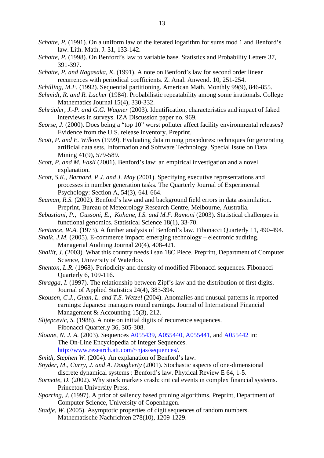- *Schatte, P.* (1991). On a uniform law of the iterated logarithm for sums mod 1 and Benford's law. Lith. Math. J. 31, 133-142.
- *Schatte, P.* (1998). On Benford's law to variable base. Statistics and Probability Letters 37, 391-397.
- *Schatte, P. and Nagasaka, K.* (1991). A note on Benford's law for second order linear recurrences with periodical coefficients. Z. Anal. Anwend. 10, 251-254.
- *Schilling, M.F.* (1992). Sequential partitioning. American Math. Monthly 99(9), 846-855.
- *Schmidt, R. and R. Lacher* (1984). Probabilistic repeatability among some irrationals. College Mathematics Journal 15(4), 330-332.
- *Schräpler, J.-P. and G.G. Wagner* (2003). Identification, characteristics and impact of faked interviews in surveys. IZA Discussion paper no. 969.
- *Scorse, J.* (2000). Does being a "top 10" worst polluter affect facility environmental releases? Evidence from the U.S. release inventory. Preprint.
- *Scott, P. and E. Wilkins* (1999). Evaluating data mining procedures: techniques for generating artificial data sets. Information and Software Technology. Special Issue on Data Mining 41(9), 579-589.
- *Scott, P. and M. Fasli* (2001). Benford's law: an empirical investigation and a novel explanation.
- *Scott, S.K., Barnard, P.J. and J. May* (2001). Specifying executive representations and processes in number generation tasks. The Quarterly Journal of Experimental Psychology: Section A, 54(3), 641-664.
- *Seaman, R.S.* (2002). Benford's law and and background field errors in data assimilation. Preprint, Bureau of Meteorology Research Centre, Melbourne, Australia.
- *Sebastiani, P., Gussoni, E., Kohane, I.S. and M.F. Ramoni* (2003). Statistical challenges in functional genomics. Statistical Science 18(1), 33-70.
- *Sentance, W.A.* (1973). A further analysis of Benford's law. Fibonacci Quarterly 11, 490-494.
- *Shaik, J.M.* (2005). E-commerce impact: emerging technology electronic auditing. Managerial Auditing Journal 20(4), 408-421.
- *Shallit, J.* (2003). What this country needs i san 18C Piece. Preprint, Department of Computer Science, University of Waterloo.
- *Shenton, L.R.* (1968). Periodicity and density of modified Fibonacci sequences. Fibonacci Quarterly 6, 109-116.
- *Shragga, I.* (1997). The relationship between Zipf's law and the distribution of first digits. Journal of Applied Statistics 24(4), 383-394.
- *Skousen, C.J., Guan, L. and T.S. Wetzel* (2004). Anomalies and unusual patterns in reported earnings: Japanese managers round earnings. Journal of International Financial Management & Accounting 15(3), 212.
- *Slijepcevic, S.* (1988). A note on initial digits of recurrence sequences. Fibonacci Quarterly 36, 305-308.
- *Sloane, N. J. A.* (2003). Sequences A055439, A055440, A055441, and A055442 in: The On-Line Encyclopedia of Integer Sequences. http://www.research.att.com/~njas/sequences/.
	-
- *Smith, Stephen W.* (2004). An explanation of Benford's law.
- *Snyder, M., Curry, J. and A. Dougherty* (2001). Stochastic aspects of one-dimensional discrete dynamical systems : Benford's law. Phyxical Review E 64, 1-5.
- *Sornette, D.* (2002). Why stock markets crash: critical events in complex financial systems. Princeton University Press.
- *Sporring, J.* (1997). A prior of saliency based pruning algorithms. Preprint, Department of Computer Science, University of Copenhagen.
- *Stadje, W.* (2005). Asymptotic properties of digit sequences of random numbers. Mathematische Nachrichten 278(10), 1209-1229.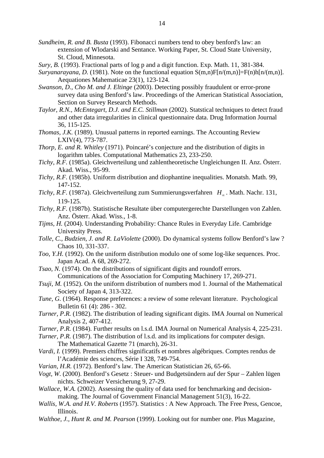- *Sundheim, R. and B. Busta* (1993). Fibonacci numbers tend to obey benford's law: an extension of Wlodarski and Sentance. Working Paper, St. Cloud State University, St. Cloud, Minnesota.
- *Sury, B.* (1993). Fractional parts of log p and a digit function. Exp. Math. 11, 381-384.
- *Suryanarayana, D.* (1981). Note on the functional equation  $S(m,n)F[n/(m,n)]=F(n)h[n/(m,n)]$ . Aequationes Mahematicae 23(1), 123-124.
- *Swanson, D., Cho M. and J. Eltinge* (2003). Detecting possibly fraudulent or error-prone survey data using Benford's law. Proceedings of the American Statistical Association, Section on Survey Research Methods.
- *Taylor, R.N., McEntegart, D.J. and E.C. Stillman* (2002). Statstical techniques to detect fraud and other data irregularities in clinical questionnaire data. Drug Information Journal 36, 115-125.
- *Thomas, J.K.* (1989). Unusual patterns in reported earnings. The Accounting Review LXIV(4), 773-787.
- *Thorp, E. and R. Whitley* (1971). Poincaré's conjecture and the distribution of digits in logarithm tables. Computational Mathematics 23, 233-250.
- *Tichy, R.F.* (1985a). Gleichverteilung und zahlentheoretische Ungleichungen II. Anz. Österr. Akad. Wiss., 95-99.
- *Tichy, R.F.* (1985b). Uniform distribution and diophantine inequalities. Monatsh. Math. 99, 147-152.
- *Tichy, R.F.* (1987a). Gleichverteilung zum Summierungsverfahren *H*<sub>*n*</sub>. Math. Nachr. 131, 119-125.
- *Tichy, R.F.* (1987b). Statistische Resultate über computergerechte Darstellungen von Zahlen. Anz. Österr. Akad. Wiss., 1-8.
- *Tijms, H.* (2004). Understanding Probability: Chance Rules in Everyday Life. Cambridge University Press.
- *Tolle, C., Budzien, J. and R. LaViolette* (2000). Do dynamical systems follow Benford's law ? Chaos 10, 331-337.
- *Too, Y.H.* (1992). On the uniform distribution modulo one of some log-like sequences. Proc. Japan Acad. A 68, 269-272.
- *Tsao, N.* (1974). On the distributions of significant digits and roundoff errors. Communications of the Association for Computing Machinery 17, 269-271.
- *Tsuji, M.* (1952). On the uniform distribution of numbers mod 1. Journal of the Mathematical Society of Japan 4, 313-322.
- *Tune, G.* (1964). Response preferences: a review of some relevant literature. Psychological Bulletin 61 (4): 286 - 302.
- *Turner, P.R.* (1982). The distribution of leading significant digits. IMA Journal on Numerical Analysis 2, 407-412.
- *Turner, P.R.* (1984). Further results on l.s.d. IMA Journal on Numerical Analysis 4, 225-231.
- *Turner, P.R.* (1987). The distribution of l.s.d. and its implications for computer design. The Mathematical Gazette 71 (march), 26-31.
- *Vardi, I.* (1999). Premiers chiffres significatifs et nombres algébriques. Comptes rendus de l'Académie des sciences, Série I 328, 749-754.
- *Varian, H.R.* (1972). Benford's law. The American Statistician 26, 65-66.
- *Vogt, W.* (2000). Benford's Gesetz : Steuer- und Budgetsündern auf der Spur Zahlen lügen nichts. Schweizer Versicherung 9, 27-29.
- *Wallace, W.A.* (2002). Assessing the quality of data used for benchmarking and decisionmaking. The Journal of Government Financial Management 51(3), 16-22.
- *Wallis, W.A. and H.V. Roberts* (1957). Statistics : A New Approach. The Free Press, Gencoe, Illinois.
- *Walthoe, J., Hunt R. and M. Pearson* (1999). Looking out for number one. Plus Magazine,